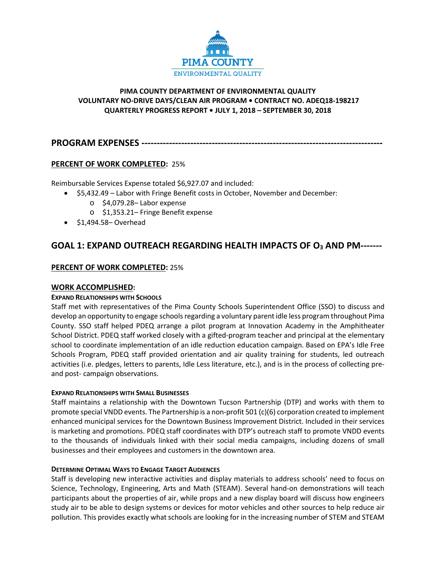

## **PIMA COUNTY DEPARTMENT OF ENVIRONMENTAL QUALITY VOLUNTARY NO-DRIVE DAYS/CLEAN AIR PROGRAM • CONTRACT NO. ADEQ18-198217 QUARTERLY PROGRESS REPORT • JULY 1, 2018 – SEPTEMBER 30, 2018**

# **PROGRAM EXPENSES ----------------------------**

# **PERCENT OF WORK COMPLETED:** 25%

Reimbursable Services Expense totaled \$6,927.07 and included:

- \$5,432.49 Labor with Fringe Benefit costs in October, November and December:
	- o \$4,079.28– Labor expense
	- o \$1,353.21– Fringe Benefit expense
- \$1,494.58– Overhead

# **GOAL 1: EXPAND OUTREACH REGARDING HEALTH IMPACTS OF O3 AND PM-------**

## **PERCENT OF WORK COMPLETED:** 25%

## **WORK ACCOMPLISHED:**

## **EXPAND RELATIONSHIPS WITH SCHOOLS**

Staff met with representatives of the Pima County Schools Superintendent Office (SSO) to discuss and develop an opportunity to engage schools regarding a voluntary parent idle less program throughout Pima County. SSO staff helped PDEQ arrange a pilot program at Innovation Academy in the Amphitheater School District. PDEQ staff worked closely with a gifted-program teacher and principal at the elementary school to coordinate implementation of an idle reduction education campaign. Based on EPA's Idle Free Schools Program, PDEQ staff provided orientation and air quality training for students, led outreach activities (i.e. pledges, letters to parents, Idle Less literature, etc.), and is in the process of collecting preand post- campaign observations.

## **EXPAND RELATIONSHIPS WITH SMALL BUSINESSES**

Staff maintains a relationship with the Downtown Tucson Partnership (DTP) and works with them to promote special VNDD events. The Partnership is a non-profit 501 (c)(6) corporation created to implement enhanced municipal services for the Downtown Business Improvement District. Included in their services is marketing and promotions. PDEQ staff coordinates with DTP's outreach staff to promote VNDD events to the thousands of individuals linked with their social media campaigns, including dozens of small businesses and their employees and customers in the downtown area.

## **DETERMINE OPTIMAL WAYS TO ENGAGE TARGET AUDIENCES**

Staff is developing new interactive activities and display materials to address schools' need to focus on Science, Technology, Engineering, Arts and Math (STEAM). Several hand-on demonstrations will teach participants about the properties of air, while props and a new display board will discuss how engineers study air to be able to design systems or devices for motor vehicles and other sources to help reduce air pollution. This provides exactly what schools are looking for in the increasing number of STEM and STEAM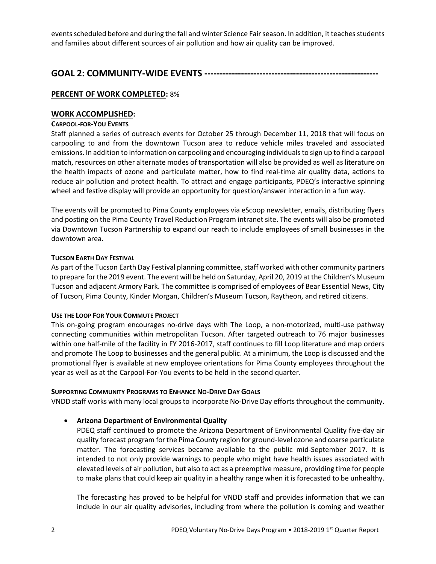events scheduled before and during the fall and winter Science Fairseason. In addition, it teaches students and families about different sources of air pollution and how air quality can be improved.

# **GOAL 2: COMMUNITY-WIDE EVENTS ---------------------------------------------------------**

# **PERCENT OF WORK COMPLETED:** 8%

## **WORK ACCOMPLISHED:**

## **CARPOOL-FOR-YOU EVENTS**

Staff planned a series of outreach events for October 25 through December 11, 2018 that will focus on carpooling to and from the downtown Tucson area to reduce vehicle miles traveled and associated emissions. In addition to information on carpooling and encouraging individuals to sign up to find a carpool match, resources on other alternate modes of transportation will also be provided as well as literature on the health impacts of ozone and particulate matter, how to find real-time air quality data, actions to reduce air pollution and protect health. To attract and engage participants, PDEQ's interactive spinning wheel and festive display will provide an opportunity for question/answer interaction in a fun way.

The events will be promoted to Pima County employees via eScoop newsletter, emails, distributing flyers and posting on the Pima County Travel Reduction Program intranet site. The events will also be promoted via Downtown Tucson Partnership to expand our reach to include employees of small businesses in the downtown area.

## **TUCSON EARTH DAY FESTIVAL**

As part of the Tucson Earth Day Festival planning committee, staff worked with other community partners to prepare for the 2019 event. The event will be held on Saturday, April 20, 2019 at the Children's Museum Tucson and adjacent Armory Park. The committee is comprised of employees of Bear Essential News, City of Tucson, Pima County, Kinder Morgan, Children's Museum Tucson, Raytheon, and retired citizens.

## **USE THE LOOP FOR YOUR COMMUTE PROJECT**

This on-going program encourages no-drive days with The Loop, a non-motorized, multi-use pathway connecting communities within metropolitan Tucson. After targeted outreach to 76 major businesses within one half-mile of the facility in FY 2016-2017, staff continues to fill Loop literature and map orders and promote The Loop to businesses and the general public. At a minimum, the Loop is discussed and the promotional flyer is available at new employee orientations for Pima County employees throughout the year as well as at the Carpool-For-You events to be held in the second quarter.

## **SUPPORTING COMMUNITY PROGRAMS TO ENHANCE NO-DRIVE DAY GOALS**

VNDD staff works with many local groups to incorporate No-Drive Day efforts throughout the community.

# • **Arizona Department of Environmental Quality**

PDEQ staff continued to promote the Arizona Department of Environmental Quality five-day air quality forecast program for the Pima County region for ground-level ozone and coarse particulate matter. The forecasting services became available to the public mid-September 2017. It is intended to not only provide warnings to people who might have health issues associated with elevated levels of air pollution, but also to act as a preemptive measure, providing time for people to make plans that could keep air quality in a healthy range when it is forecasted to be unhealthy.

The forecasting has proved to be helpful for VNDD staff and provides information that we can include in our air quality advisories, including from where the pollution is coming and weather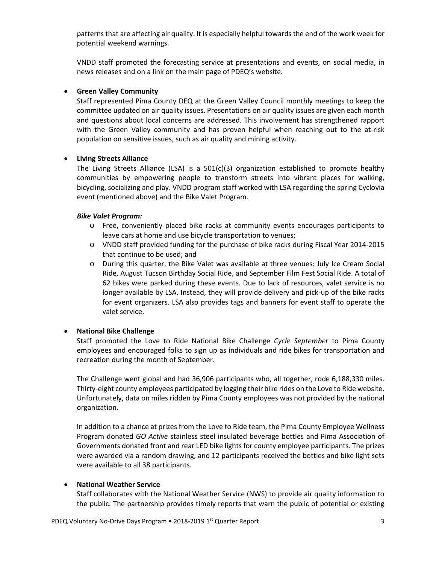patterns that are affecting air quality. It is especially helpful towards the end of the work week for potential weekend warnings.

VNDD staff promoted the forecasting service at presentations and events, on social media, in news releases and on a link on the main page of PDEQ's website.

## • **Green Valley Community**

Staff represented Pima County DEQ at the Green Valley Council monthly meetings to keep the committee updated on air quality issues. Presentations on air quality issues are given each month and questions about local concerns are addressed. This involvement has strengthened rapport with the Green Valley community and has proven helpful when reaching out to the at-risk population on sensitive issues, such as air quality and mining activity.

### • **Living Streets Alliance**

The Living Streets Alliance (LSA) is a  $501(c)(3)$  organization established to promote healthy communities by empowering people to transform streets into vibrant places for walking, bicycling, socializing and play. VNDD program staff worked with LSA regarding the spring Cyclovia event (mentioned above) and the Bike Valet Program.

### *Bike Valet Program:*

- o Free, conveniently placed bike racks at community events encourages participants to leave cars at home and use bicycle transportation to venues;
- o VNDD staff provided funding for the purchase of bike racks during Fiscal Year 2014-2015 that continue to be used; and
- o During this quarter, the Bike Valet was available at three venues: July Ice Cream Social Ride, August Tucson Birthday Social Ride, and September Film Fest Social Ride. A total of 62 bikes were parked during these events. Due to lack of resources, valet service is no longer available by LSA. Instead, they will provide delivery and pick-up of the bike racks for event organizers. LSA also provides tags and banners for event staff to operate the valet service.

## • **National Bike Challenge**

Staff promoted the Love to Ride National Bike Challenge *Cycle September* to Pima County employees and encouraged folks to sign up as individuals and ride bikes for transportation and recreation during the month of September.

The Challenge went global and had 36,906 participants who, all together, rode 6,188,330 miles. Thirty-eight county employees participated by logging their bike rides on the Love to Ride website. Unfortunately, data on miles ridden by Pima County employees was not provided by the national organization.

In addition to a chance at prizes from the Love to Ride team, the Pima County Employee Wellness Program donated *GO Active* stainless steel insulated beverage bottles and Pima Association of Governments donated front and rear LED bike lights for county employee participants. The prizes were awarded via a random drawing, and 12 participants received the bottles and bike light sets were available to all 38 participants.

## • **National Weather Service**

Staff collaborates with the National Weather Service (NWS) to provide air quality information to the public. The partnership provides timely reports that warn the public of potential or existing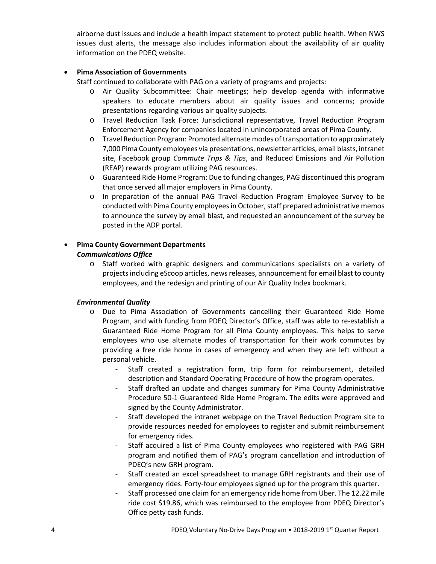airborne dust issues and include a health impact statement to protect public health. When NWS issues dust alerts, the message also includes information about the availability of air quality information on the PDEQ website.

## • **Pima Association of Governments**

Staff continued to collaborate with PAG on a variety of programs and projects:

- o Air Quality Subcommittee: Chair meetings; help develop agenda with informative speakers to educate members about air quality issues and concerns; provide presentations regarding various air quality subjects.
- o Travel Reduction Task Force: Jurisdictional representative, Travel Reduction Program Enforcement Agency for companies located in unincorporated areas of Pima County.
- o Travel Reduction Program: Promoted alternate modes of transportation to approximately 7,000 Pima County employees via presentations, newsletter articles, email blasts, intranet site, Facebook group *Commute Trips & Tips*, and Reduced Emissions and Air Pollution (REAP) rewards program utilizing PAG resources.
- o Guaranteed Ride Home Program: Due to funding changes, PAG discontinued this program that once served all major employers in Pima County.
- o In preparation of the annual PAG Travel Reduction Program Employee Survey to be conducted with Pima County employees in October, staff prepared administrative memos to announce the survey by email blast, and requested an announcement of the survey be posted in the ADP portal.

# • **Pima County Government Departments**  *Communications Office*

o Staff worked with graphic designers and communications specialists on a variety of projects including eScoop articles, news releases, announcement for email blast to county employees, and the redesign and printing of our Air Quality Index bookmark.

## *Environmental Quality*

- o Due to Pima Association of Governments cancelling their Guaranteed Ride Home Program, and with funding from PDEQ Director's Office, staff was able to re-establish a Guaranteed Ride Home Program for all Pima County employees. This helps to serve employees who use alternate modes of transportation for their work commutes by providing a free ride home in cases of emergency and when they are left without a personal vehicle.
	- Staff created a registration form, trip form for reimbursement, detailed description and Standard Operating Procedure of how the program operates.
	- Staff drafted an update and changes summary for Pima County Administrative Procedure 50-1 Guaranteed Ride Home Program. The edits were approved and signed by the County Administrator.
	- Staff developed the intranet webpage on the Travel Reduction Program site to provide resources needed for employees to register and submit reimbursement for emergency rides.
	- Staff acquired a list of Pima County employees who registered with PAG GRH program and notified them of PAG's program cancellation and introduction of PDEQ's new GRH program.
	- Staff created an excel spreadsheet to manage GRH registrants and their use of emergency rides. Forty-four employees signed up for the program this quarter.
	- Staff processed one claim for an emergency ride home from Uber. The 12.22 mile ride cost \$19.86, which was reimbursed to the employee from PDEQ Director's Office petty cash funds.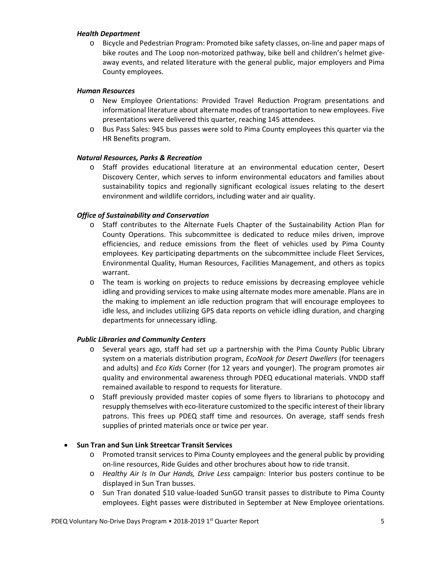### *Health Department*

o Bicycle and Pedestrian Program: Promoted bike safety classes, on-line and paper maps of bike routes and The Loop non-motorized pathway, bike bell and children's helmet giveaway events, and related literature with the general public, major employers and Pima County employees.

### *Human Resources*

- o New Employee Orientations: Provided Travel Reduction Program presentations and informational literature about alternate modes of transportation to new employees. Five presentations were delivered this quarter, reaching 145 attendees.
- o Bus Pass Sales: 945 bus passes were sold to Pima County employees this quarter via the HR Benefits program.

## *Natural Resources, Parks & Recreation*

o Staff provides educational literature at an environmental education center, Desert Discovery Center, which serves to inform environmental educators and families about sustainability topics and regionally significant ecological issues relating to the desert environment and wildlife corridors, including water and air quality.

## *Office of Sustainability and Conservation*

- o Staff contributes to the Alternate Fuels Chapter of the Sustainability Action Plan for County Operations. This subcommittee is dedicated to reduce miles driven, improve efficiencies, and reduce emissions from the fleet of vehicles used by Pima County employees. Key participating departments on the subcommittee include Fleet Services, Environmental Quality, Human Resources, Facilities Management, and others as topics warrant.
- o The team is working on projects to reduce emissions by decreasing employee vehicle idling and providing services to make using alternate modes more amenable. Plans are in the making to implement an idle reduction program that will encourage employees to idle less, and includes utilizing GPS data reports on vehicle idling duration, and charging departments for unnecessary idling.

## *Public Libraries and Community Centers*

- o Several years ago, staff had set up a partnership with the Pima County Public Library system on a materials distribution program, *EcoNook for Desert Dwellers* (for teenagers and adults) and *Eco Kids* Corner (for 12 years and younger). The program promotes air quality and environmental awareness through PDEQ educational materials. VNDD staff remained available to respond to requests for literature.
- o Staff previously provided master copies of some flyers to librarians to photocopy and resupply themselves with eco-literature customized to the specific interest of their library patrons. This frees up PDEQ staff time and resources. On average, staff sends fresh supplies of printed materials once or twice per year.

## • **Sun Tran and Sun Link Streetcar Transit Services**

- o Promoted transit services to Pima County employees and the general public by providing on-line resources, Ride Guides and other brochures about how to ride transit.
- o *Healthy Air Is In Our Hands, Drive Less* campaign: Interior bus posters continue to be displayed in Sun Tran busses.
- o Sun Tran donated \$10 value-loaded SunGO transit passes to distribute to Pima County employees. Eight passes were distributed in September at New Employee orientations.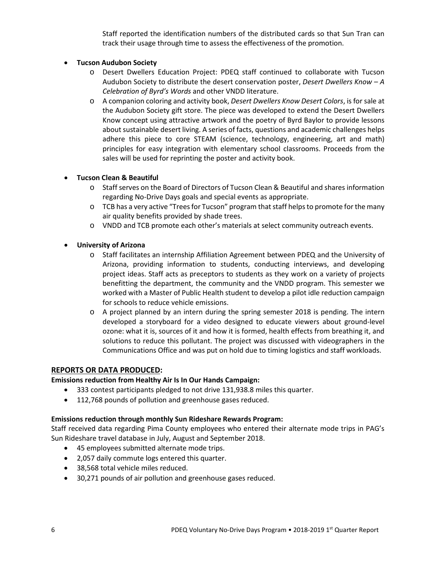Staff reported the identification numbers of the distributed cards so that Sun Tran can track their usage through time to assess the effectiveness of the promotion.

## • **Tucson Audubon Society**

- o Desert Dwellers Education Project: PDEQ staff continued to collaborate with Tucson Audubon Society to distribute the desert conservation poster, *Desert Dwellers Know – A Celebration of Byrd's Words* and other VNDD literature.
- o A companion coloring and activity book, *Desert Dwellers Know Desert Colors*, is for sale at the Audubon Society gift store. The piece was developed to extend the Desert Dwellers Know concept using attractive artwork and the poetry of Byrd Baylor to provide lessons about sustainable desert living. A series of facts, questions and academic challenges helps adhere this piece to core STEAM (science, technology, engineering, art and math) principles for easy integration with elementary school classrooms. Proceeds from the sales will be used for reprinting the poster and activity book.

## • **Tucson Clean & Beautiful**

- o Staff serves on the Board of Directors of Tucson Clean & Beautiful and shares information regarding No-Drive Days goals and special events as appropriate.
- $\circ$  TCB has a very active "Trees for Tucson" program that staff helps to promote for the many air quality benefits provided by shade trees.
- o VNDD and TCB promote each other's materials at select community outreach events.
- **University of Arizona**
	- o Staff facilitates an internship Affiliation Agreement between PDEQ and the University of Arizona, providing information to students, conducting interviews, and developing project ideas. Staff acts as preceptors to students as they work on a variety of projects benefitting the department, the community and the VNDD program. This semester we worked with a Master of Public Health student to develop a pilot idle reduction campaign for schools to reduce vehicle emissions.
	- o A project planned by an intern during the spring semester 2018 is pending. The intern developed a storyboard for a video designed to educate viewers about ground-level ozone: what it is, sources of it and how it is formed, health effects from breathing it, and solutions to reduce this pollutant. The project was discussed with videographers in the Communications Office and was put on hold due to timing logistics and staff workloads.

## **REPORTS OR DATA PRODUCED:**

## **Emissions reduction from Healthy Air Is In Our Hands Campaign:**

- 333 contest participants pledged to not drive 131,938.8 miles this quarter.
- 112,768 pounds of pollution and greenhouse gases reduced.

## **Emissions reduction through monthly Sun Rideshare Rewards Program:**

Staff received data regarding Pima County employees who entered their alternate mode trips in PAG's Sun Rideshare travel database in July, August and September 2018.

- 45 employees submitted alternate mode trips.
- 2,057 daily commute logs entered this quarter.
- 38,568 total vehicle miles reduced.
- 30,271 pounds of air pollution and greenhouse gases reduced.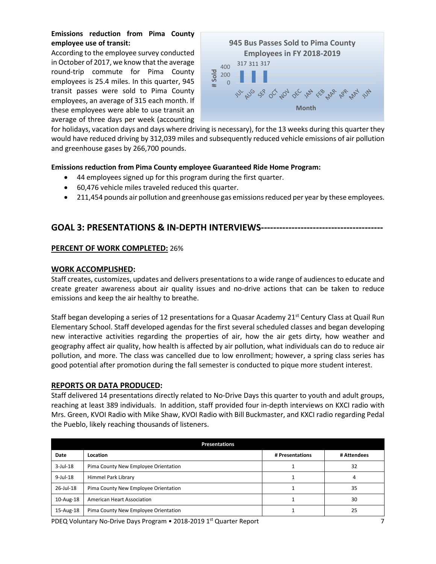# **Emissions reduction from Pima County employee use of transit:**

According to the employee survey conducted in October of 2017, we know that the average round-trip commute for Pima County employees is 25.4 miles. In this quarter, 945 transit passes were sold to Pima County employees, an average of 315 each month. If these employees were able to use transit an average of three days per week (accounting



for holidays, vacation days and days where driving is necessary), for the 13 weeks during this quarter they would have reduced driving by 312,039 miles and subsequently reduced vehicle emissions of air pollution and greenhouse gases by 266,700 pounds.

## **Emissions reduction from Pima County employee Guaranteed Ride Home Program:**

- 44 employees signed up for this program during the first quarter.
- 60,476 vehicle miles traveled reduced this quarter.
- 211,454 pounds air pollution and greenhouse gas emissions reduced per year by these employees.

# **GOAL 3: PRESENTATIONS & IN-DEPTH INTERVIEWS----------------------------------------**

## **PERCENT OF WORK COMPLETED:** 26%

## **WORK ACCOMPLISHED:**

Staff creates, customizes, updates and delivers presentations to a wide range of audiences to educate and create greater awareness about air quality issues and no-drive actions that can be taken to reduce emissions and keep the air healthy to breathe.

Staff began developing a series of 12 presentations for a Quasar Academy 21<sup>st</sup> Century Class at Quail Run Elementary School. Staff developed agendas for the first several scheduled classes and began developing new interactive activities regarding the properties of air, how the air gets dirty, how weather and geography affect air quality, how health is affected by air pollution, what individuals can do to reduce air pollution, and more. The class was cancelled due to low enrollment; however, a spring class series has good potential after promotion during the fall semester is conducted to pique more student interest.

## **REPORTS OR DATA PRODUCED:**

Staff delivered 14 presentations directly related to No-Drive Days this quarter to youth and adult groups, reaching at least 389 individuals. In addition, staff provided four in-depth interviews on KXCI radio with Mrs. Green, KVOI Radio with Mike Shaw, KVOI Radio with Bill Buckmaster, and KXCI radio regarding Pedal the Pueblo, likely reaching thousands of listeners.

| <b>Presentations</b>                 |                 |             |  |
|--------------------------------------|-----------------|-------------|--|
| Location                             | # Presentations | # Attendees |  |
| Pima County New Employee Orientation |                 | 32          |  |
| Himmel Park Library                  |                 | 4           |  |
| Pima County New Employee Orientation |                 | 35          |  |
| <b>American Heart Association</b>    |                 | 30          |  |
| Pima County New Employee Orientation |                 | 25          |  |
|                                      |                 |             |  |

PDEQ Voluntary No-Drive Days Program • 2018-2019 1st Quarter Report 7 7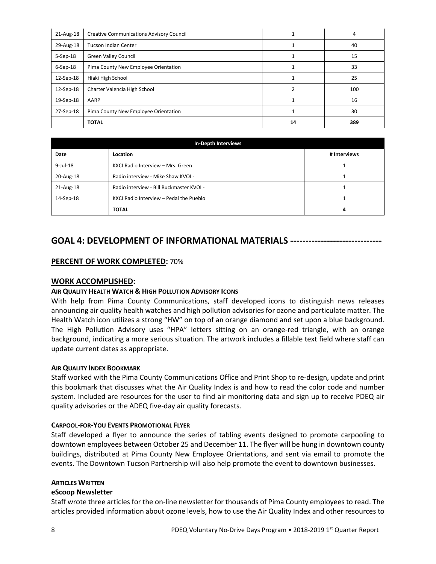| 21-Aug-18      | <b>Creative Communications Advisory Council</b> |  | 4   |
|----------------|-------------------------------------------------|--|-----|
| 29-Aug-18      | <b>Tucson Indian Center</b>                     |  | 40  |
| $5-$ Sep $-18$ | <b>Green Valley Council</b>                     |  | 15  |
| $6-$ Sep $-18$ | Pima County New Employee Orientation            |  | 33  |
| 12-Sep-18      | Hiaki High School                               |  | 25  |
| 12-Sep-18      | Charter Valencia High School                    |  | 100 |
| 19-Sep-18      | AARP                                            |  | 16  |
| 27-Sep-18      | Pima County New Employee Orientation            |  | 30  |
|                | <b>TOTAL</b>                                    |  | 389 |

| In-Depth Interviews |                                          |   |
|---------------------|------------------------------------------|---|
| Date                | # Interviews<br>Location                 |   |
| $9$ -Jul-18         | KXCI Radio Interview - Mrs. Green        |   |
| 20-Aug-18           | Radio interview - Mike Shaw KVOI -       |   |
| 21-Aug-18           | Radio interview - Bill Buckmaster KVOI - |   |
| 14-Sep-18           | KXCI Radio Interview - Pedal the Pueblo  |   |
|                     | <b>TOTAL</b>                             | 4 |

# **GOAL 4: DEVELOPMENT OF INFORMATIONAL MATERIALS ------------------------------**

## **PERCENT OF WORK COMPLETED:** 70%

### **WORK ACCOMPLISHED:**

## **AIR QUALITY HEALTH WATCH & HIGH POLLUTION ADVISORY ICONS**

With help from Pima County Communications, staff developed icons to distinguish news releases announcing air quality health watches and high pollution advisories for ozone and particulate matter. The Health Watch icon utilizes a strong "HW" on top of an orange diamond and set upon a blue background. The High Pollution Advisory uses "HPA" letters sitting on an orange-red triangle, with an orange background, indicating a more serious situation. The artwork includes a fillable text field where staff can update current dates as appropriate.

#### **AIR QUALITY INDEX BOOKMARK**

Staff worked with the Pima County Communications Office and Print Shop to re-design, update and print this bookmark that discusses what the Air Quality Index is and how to read the color code and number system. Included are resources for the user to find air monitoring data and sign up to receive PDEQ air quality advisories or the ADEQ five-day air quality forecasts.

#### **CARPOOL-FOR-YOU EVENTS PROMOTIONAL FLYER**

Staff developed a flyer to announce the series of tabling events designed to promote carpooling to downtown employees between October 25 and December 11. The flyer will be hung in downtown county buildings, distributed at Pima County New Employee Orientations, and sent via email to promote the events. The Downtown Tucson Partnership will also help promote the event to downtown businesses.

#### **ARTICLES WRITTEN**

#### **eScoop Newsletter**

Staff wrote three articles for the on-line newsletter for thousands of Pima County employees to read. The articles provided information about ozone levels, how to use the Air Quality Index and other resources to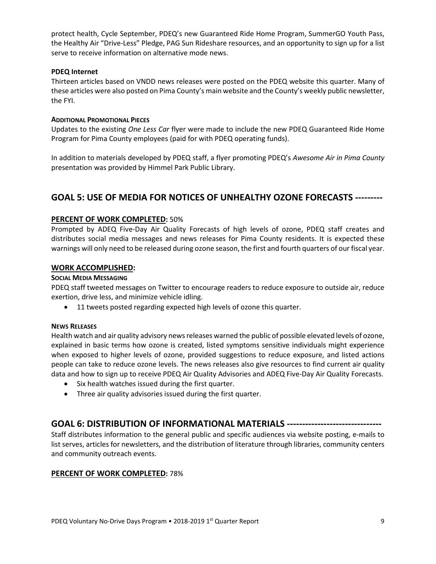protect health, Cycle September, PDEQ's new Guaranteed Ride Home Program, SummerGO Youth Pass, the Healthy Air "Drive-Less" Pledge, PAG Sun Rideshare resources, and an opportunity to sign up for a list serve to receive information on alternative mode news.

### **PDEQ Internet**

Thirteen articles based on VNDD news releases were posted on the PDEQ website this quarter. Many of these articles were also posted on Pima County's main website and the County's weekly public newsletter, the FYI.

### **ADDITIONAL PROMOTIONAL PIECES**

Updates to the existing *One Less Car* flyer were made to include the new PDEQ Guaranteed Ride Home Program for Pima County employees (paid for with PDEQ operating funds).

In addition to materials developed by PDEQ staff, a flyer promoting PDEQ's *Awesome Air in Pima County* presentation was provided by Himmel Park Public Library.

# **GOAL 5: USE OF MEDIA FOR NOTICES OF UNHEALTHY OZONE FORECASTS ---------**

## **PERCENT OF WORK COMPLETED:** 50%

Prompted by ADEQ Five-Day Air Quality Forecasts of high levels of ozone, PDEQ staff creates and distributes social media messages and news releases for Pima County residents. It is expected these warnings will only need to be released during ozone season, the first and fourth quarters of our fiscal year.

## **WORK ACCOMPLISHED:**

### **SOCIAL MEDIA MESSAGING**

PDEQ staff tweeted messages on Twitter to encourage readers to reduce exposure to outside air, reduce exertion, drive less, and minimize vehicle idling.

• 11 tweets posted regarding expected high levels of ozone this quarter.

#### **NEWS RELEASES**

Health watch and air quality advisory news releases warned the public of possible elevated levels of ozone, explained in basic terms how ozone is created, listed symptoms sensitive individuals might experience when exposed to higher levels of ozone, provided suggestions to reduce exposure, and listed actions people can take to reduce ozone levels. The news releases also give resources to find current air quality data and how to sign up to receive PDEQ Air Quality Advisories and ADEQ Five-Day Air Quality Forecasts.

- Six health watches issued during the first quarter.
- Three air quality advisories issued during the first quarter.

# **GOAL 6: DISTRIBUTION OF INFORMATIONAL MATERIALS -------------------------------**

Staff distributes information to the general public and specific audiences via website posting, e-mails to list serves, articles for newsletters, and the distribution of literature through libraries, community centers and community outreach events.

## **PERCENT OF WORK COMPLETED:** 78%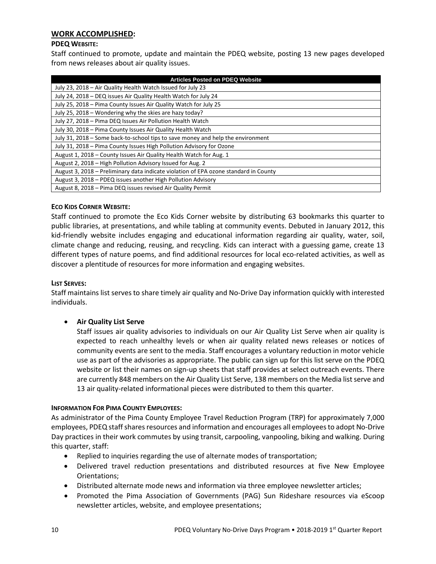## **WORK ACCOMPLISHED:**

### **PDEQ WEBSITE:**

Staff continued to promote, update and maintain the PDEQ website, posting 13 new pages developed from news releases about air quality issues.

| <b>Articles Posted on PDEQ Website</b>                                               |  |  |
|--------------------------------------------------------------------------------------|--|--|
| July 23, 2018 - Air Quality Health Watch Issued for July 23                          |  |  |
| July 24, 2018 - DEQ issues Air Quality Health Watch for July 24                      |  |  |
| July 25, 2018 – Pima County Issues Air Quality Watch for July 25                     |  |  |
| July 25, 2018 – Wondering why the skies are hazy today?                              |  |  |
| July 27, 2018 - Pima DEQ Issues Air Pollution Health Watch                           |  |  |
| July 30, 2018 - Pima County Issues Air Quality Health Watch                          |  |  |
| July 31, 2018 – Some back-to-school tips to save money and help the environment      |  |  |
| July 31, 2018 – Pima County Issues High Pollution Advisory for Ozone                 |  |  |
| August 1, 2018 – County Issues Air Quality Health Watch for Aug. 1                   |  |  |
| August 2, 2018 – High Pollution Advisory Issued for Aug. 2                           |  |  |
| August 3, 2018 – Preliminary data indicate violation of EPA ozone standard in County |  |  |
| August 3, 2018 – PDEQ issues another High Pollution Advisory                         |  |  |
| August 8, 2018 - Pima DEQ issues revised Air Quality Permit                          |  |  |

#### **ECO KIDS CORNER WEBSITE:**

Staff continued to promote the Eco Kids Corner website by distributing 63 bookmarks this quarter to public libraries, at presentations, and while tabling at community events. Debuted in January 2012, this kid-friendly website includes engaging and educational information regarding air quality, water, soil, climate change and reducing, reusing, and recycling. Kids can interact with a guessing game, create 13 different types of nature poems, and find additional resources for local eco-related activities, as well as discover a plentitude of resources for more information and engaging websites.

#### **LIST SERVES:**

Staff maintains list serves to share timely air quality and No-Drive Day information quickly with interested individuals.

## • **Air Quality List Serve**

Staff issues air quality advisories to individuals on our Air Quality List Serve when air quality is expected to reach unhealthy levels or when air quality related news releases or notices of community events are sent to the media. Staff encourages a voluntary reduction in motor vehicle use as part of the advisories as appropriate. The public can sign up for this list serve on the PDEQ website or list their names on sign-up sheets that staff provides at select outreach events. There are currently 848 members on the Air Quality List Serve, 138 members on the Media list serve and 13 air quality-related informational pieces were distributed to them this quarter.

## **INFORMATION FOR PIMA COUNTY EMPLOYEES:**

As administrator of the Pima County Employee Travel Reduction Program (TRP) for approximately 7,000 employees, PDEQ staffshares resources and information and encourages all employees to adopt No-Drive Day practices in their work commutes by using transit, carpooling, vanpooling, biking and walking. During this quarter, staff:

- Replied to inquiries regarding the use of alternate modes of transportation;
- Delivered travel reduction presentations and distributed resources at five New Employee Orientations;
- Distributed alternate mode news and information via three employee newsletter articles;
- Promoted the Pima Association of Governments (PAG) Sun Rideshare resources via eScoop newsletter articles, website, and employee presentations;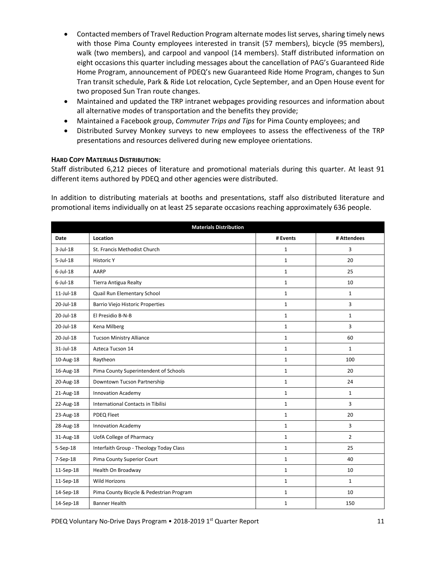- Contacted members of Travel Reduction Program alternate modes list serves, sharing timely news with those Pima County employees interested in transit (57 members), bicycle (95 members), walk (two members), and carpool and vanpool (14 members). Staff distributed information on eight occasions this quarter including messages about the cancellation of PAG's Guaranteed Ride Home Program, announcement of PDEQ's new Guaranteed Ride Home Program, changes to Sun Tran transit schedule, Park & Ride Lot relocation, Cycle September, and an Open House event for two proposed Sun Tran route changes.
- Maintained and updated the TRP intranet webpages providing resources and information about all alternative modes of transportation and the benefits they provide;
- Maintained a Facebook group, *Commuter Trips and Tips* for Pima County employees; and
- Distributed Survey Monkey surveys to new employees to assess the effectiveness of the TRP presentations and resources delivered during new employee orientations.

### **HARD COPY MATERIALS DISTRIBUTION:**

Staff distributed 6,212 pieces of literature and promotional materials during this quarter. At least 91 different items authored by PDEQ and other agencies were distributed.

In addition to distributing materials at booths and presentations, staff also distributed literature and promotional items individually on at least 25 separate occasions reaching approximately 636 people.

| <b>Materials Distribution</b> |                                          |              |                |
|-------------------------------|------------------------------------------|--------------|----------------|
| Date                          | Location                                 | # Events     | # Attendees    |
| $3$ -Jul-18                   | St. Francis Methodist Church             |              | 3              |
| $5$ -Jul-18                   | <b>Historic Y</b>                        | $\mathbf{1}$ | 20             |
| $6$ -Jul-18                   | AARP                                     | $\mathbf{1}$ | 25             |
| $6$ -Jul-18                   | <b>Tierra Antigua Realty</b>             | $\mathbf{1}$ | 10             |
| $11$ -Jul- $18$               | Quail Run Elementary School              | $\mathbf{1}$ | $\mathbf{1}$   |
| 20-Jul-18                     | <b>Barrio Viejo Historic Properties</b>  | 1            | 3              |
| 20-Jul-18                     | El Presidio B-N-B                        | $\mathbf{1}$ | $\mathbf{1}$   |
| 20-Jul-18                     | Kena Milberg                             | $\mathbf{1}$ | 3              |
| 20-Jul-18                     | <b>Tucson Ministry Alliance</b>          |              | 60             |
| $31$ -Jul-18                  | Azteca Tucson 14                         |              | $\mathbf{1}$   |
| 10-Aug-18                     | Raytheon                                 |              | 100            |
| 16-Aug-18                     | Pima County Superintendent of Schools    |              | 20             |
| 20-Aug-18                     | Downtown Tucson Partnership              |              | 24             |
| 21-Aug-18                     | <b>Innovation Academy</b>                | $\mathbf{1}$ | $\mathbf{1}$   |
| 22-Aug-18                     | International Contacts in Tibilisi       | $\mathbf{1}$ | 3              |
| 23-Aug-18                     | PDEQ Fleet                               | $\mathbf 1$  | 20             |
| 28-Aug-18                     | <b>Innovation Academy</b>                | $\mathbf{1}$ | 3              |
| 31-Aug-18                     | <b>UofA College of Pharmacy</b>          | $\mathbf{1}$ | $\overline{2}$ |
| 5-Sep-18                      | Interfaith Group - Theology Today Class  | 1            | 25             |
| 7-Sep-18                      | Pima County Superior Court               | $\mathbf{1}$ | 40             |
| 11-Sep-18                     | Health On Broadway                       | $\mathbf{1}$ | 10             |
| 11-Sep-18                     | <b>Wild Horizons</b>                     | $\mathbf{1}$ | $\mathbf{1}$   |
| 14-Sep-18                     | Pima County Bicycle & Pedestrian Program | 1            | 10             |
| 14-Sep-18                     | <b>Banner Health</b>                     |              | 150            |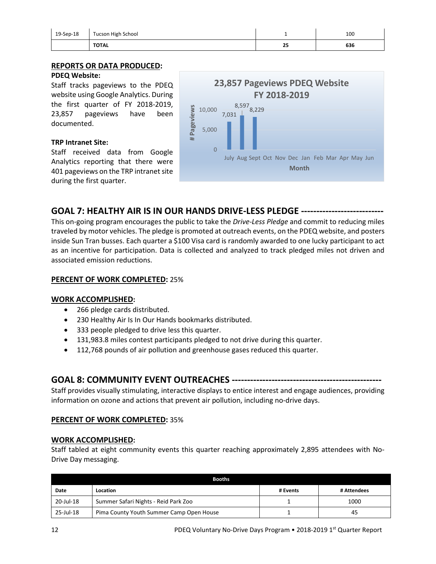| 19-Sep-18 | Tucson High School |    | 100 |
|-----------|--------------------|----|-----|
|           | <b>TOTAL</b>       | 25 | 636 |

### **REPORTS OR DATA PRODUCED: PDEQ Website:**

Staff tracks pageviews to the PDEQ website using Google Analytics. During the first quarter of FY 2018-2019, 23,857 pageviews have been documented.

## **TRP Intranet Site:**

Staff received data from Google Analytics reporting that there were 401 pageviews on the TRP intranet site during the first quarter.



# **GOAL 7: HEALTHY AIR IS IN OUR HANDS DRIVE-LESS PLEDGE ---------------------------**

This on-going program encourages the public to take the *Drive-Less Pledge* and commit to reducing miles traveled by motor vehicles. The pledge is promoted at outreach events, on the PDEQ website, and posters inside Sun Tran busses. Each quarter a \$100 Visa card is randomly awarded to one lucky participant to act as an incentive for participation. Data is collected and analyzed to track pledged miles not driven and associated emission reductions.

## **PERCENT OF WORK COMPLETED:** 25%

## **WORK ACCOMPLISHED:**

- 266 pledge cards distributed.
- 230 Healthy Air Is In Our Hands bookmarks distributed.
- 333 people pledged to drive less this quarter.
- 131,983.8 miles contest participants pledged to not drive during this quarter.
- 112,768 pounds of air pollution and greenhouse gases reduced this quarter.

# **GOAL 8: COMMUNITY EVENT OUTREACHES -------------------------------------------------**

Staff provides visually stimulating, interactive displays to entice interest and engage audiences, providing information on ozone and actions that prevent air pollution, including no-drive days.

## **PERCENT OF WORK COMPLETED:** 35%

## **WORK ACCOMPLISHED:**

Staff tabled at eight community events this quarter reaching approximately 2,895 attendees with No-Drive Day messaging.

| <b>Booths</b>                                         |          |  |             |
|-------------------------------------------------------|----------|--|-------------|
| Date                                                  | Location |  | # Attendees |
| 20-Jul-18<br>Summer Safari Nights - Reid Park Zoo     |          |  | 1000        |
| 25-Jul-18<br>Pima County Youth Summer Camp Open House |          |  | 45          |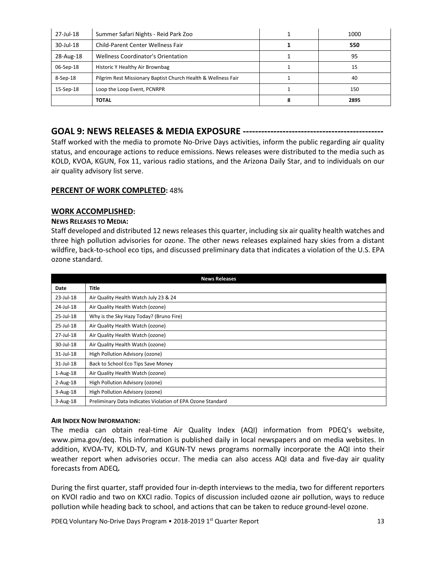| 27-Jul-18 | Summer Safari Nights - Reid Park Zoo                          | 1000 |
|-----------|---------------------------------------------------------------|------|
| 30-Jul-18 | Child-Parent Center Wellness Fair                             | 550  |
| 28-Aug-18 | Wellness Coordinator's Orientation                            | 95   |
| 06-Sep-18 | Historic Y Healthy Air Brownbag                               | 15   |
| 8-Sep-18  | Pilgrim Rest Missionary Baptist Church Health & Wellness Fair | 40   |
| 15-Sep-18 | Loop the Loop Event, PCNRPR                                   | 150  |
|           | <b>TOTAL</b>                                                  | 2895 |

# **GOAL 9: NEWS RELEASES & MEDIA EXPOSURE ----------------------------------------------**

Staff worked with the media to promote No-Drive Days activities, inform the public regarding air quality status, and encourage actions to reduce emissions. News releases were distributed to the media such as KOLD, KVOA, KGUN, Fox 11, various radio stations, and the Arizona Daily Star, and to individuals on our air quality advisory list serve.

### **PERCENT OF WORK COMPLETED:** 48%

### **WORK ACCOMPLISHED:**

### **NEWS RELEASES TO MEDIA:**

Staff developed and distributed 12 news releases this quarter, including six air quality health watches and three high pollution advisories for ozone. The other news releases explained hazy skies from a distant wildfire, back-to-school eco tips, and discussed preliminary data that indicates a violation of the U.S. EPA ozone standard.

| <b>News Releases</b> |                                                            |  |
|----------------------|------------------------------------------------------------|--|
| Date                 | Title                                                      |  |
| 23-Jul-18            | Air Quality Health Watch July 23 & 24                      |  |
| 24-Jul-18            | Air Quality Health Watch (ozone)                           |  |
| 25-Jul-18            | Why is the Sky Hazy Today? (Bruno Fire)                    |  |
| 25-Jul-18            | Air Quality Health Watch (ozone)                           |  |
| 27-Jul-18            | Air Quality Health Watch (ozone)                           |  |
| 30-Jul-18            | Air Quality Health Watch (ozone)                           |  |
| 31-Jul-18            | High Pollution Advisory (ozone)                            |  |
| 31-Jul-18            | Back to School Eco Tips Save Money                         |  |
| $1-Aug-18$           | Air Quality Health Watch (ozone)                           |  |
| $2$ -Aug-18          | High Pollution Advisory (ozone)                            |  |
| $3-Aug-18$           | High Pollution Advisory (ozone)                            |  |
| $3-Aug-18$           | Preliminary Data Indicates Violation of EPA Ozone Standard |  |

#### **AIR INDEX NOW INFORMATION:**

The media can obtain real-time Air Quality Index (AQI) information from PDEQ's website, [www.pima.gov/deq.](http://www.pima.gov/deq) This information is published daily in local newspapers and on media websites. In addition, KVOA-TV, KOLD-TV, and KGUN-TV news programs normally incorporate the AQI into their weather report when advisories occur. The media can also access AQI data and five-day air quality forecasts from ADEQ**.**

During the first quarter, staff provided four in-depth interviews to the media, two for different reporters on KVOI radio and two on KXCI radio. Topics of discussion included ozone air pollution, ways to reduce pollution while heading back to school, and actions that can be taken to reduce ground-level ozone.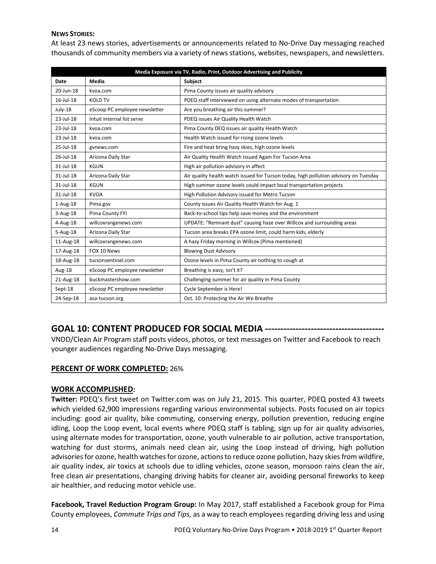## **NEWS STORIES:**

At least 23 news stories, advertisements or announcements related to No-Drive Day messaging reached thousands of community members via a variety of news stations, websites, newspapers, and newsletters.

| Media Exposure via TV, Radio, Print, Outdoor Advertising and Publicity |                               |                                                                                      |
|------------------------------------------------------------------------|-------------------------------|--------------------------------------------------------------------------------------|
| Date                                                                   | Media                         | Subject                                                                              |
| 20-Jun-18                                                              | kvoa.com                      | Pima County issues air quality advisory                                              |
| 16-Jul-18                                                              | <b>KOLD TV</b>                | PDEQ staff interviewed on using alternate modes of transportation                    |
| July-18                                                                | eScoop PC employee newsletter | Are you breathing air this summer?                                                   |
| 23-Jul-18                                                              | Intuit internal list serve    | PDEQ issues Air Quality Health Watch                                                 |
| 23-Jul-18                                                              | kvoa.com                      | Pima County DEQ issues air quality Health Watch                                      |
| $23 -$ Jul-18                                                          | kvoa.com                      | Health Watch issued for rising ozone levels                                          |
| 25-Jul-18                                                              | gvnews.com                    | Fire and heat bring hazy skies, high ozone levels                                    |
| 26-Jul-18                                                              | Arizona Daily Star            | Air Quality Health Watch Issued Again For Tucson Area                                |
| 31-Jul-18                                                              | <b>KGUN</b>                   | High air pollution advisory in affect                                                |
| 31-Jul-18                                                              | Arizona Daily Star            | Air quality health watch issued for Tucson today, high pollution advisory on Tuesday |
| 31-Jul-18                                                              | <b>KGUN</b>                   | High summer ozone levels could impact local transportation projects                  |
| 31-Jul-18                                                              | <b>KVOA</b>                   | High Pollution Advisory issued for Metro Tucson                                      |
| $1-Aug-18$                                                             | Pima.gov                      | County issues Air Quality Health Watch for Aug. 1                                    |
| 3-Aug-18                                                               | Pima County FYI               | Back-to-school tips help save money and the environment                              |
| 4-Aug-18                                                               | willcoxrangenews.com          | UPDATE: "Remnant dust" causing haze over Willcox and surrounding areas               |
| 5-Aug-18                                                               | Arizona Daily Star            | Tucson area breaks EPA ozone limit, could harm kids, elderly                         |
| 11-Aug-18                                                              | willcoxrangenews.com          | A hazy Friday morning in Willcox (Pima mentioned)                                    |
| 17-Aug-18                                                              | FOX 10 News                   | <b>Blowing Dust Advisory</b>                                                         |
| 18-Aug-18                                                              | tucsonsentinel.com            | Ozone levels in Pima County air nothing to cough at                                  |
| Aug-18                                                                 | eScoop PC employee newsletter | Breathing is easy, isn't it?                                                         |
| 21-Aug-18                                                              | buckmastershow.com            | Challenging summer for air quality in Pima County                                    |
| Sept-18                                                                | eScoop PC employee newsletter | Cycle September is Here!                                                             |
| 24-Sep-18                                                              | asa-tucson.org                | Oct. 10: Protecting the Air We Breathe                                               |

# **GOAL 10: CONTENT PRODUCED FOR SOCIAL MEDIA ---------------------------------------**

VNDD/Clean Air Program staff posts videos, photos, or text messages on Twitter and Facebook to reach younger audiences regarding No-Drive Days messaging.

## **PERCENT OF WORK COMPLETED:** 26%

## **WORK ACCOMPLISHED:**

**Twitter:** PDEQ's first tweet on Twitter.com was on July 21, 2015. This quarter, PDEQ posted 43 tweets which yielded 62,900 impressions regarding various environmental subjects. Posts focused on air topics including: good air quality, bike commuting, conserving energy, pollution prevention, reducing engine idling, Loop the Loop event, local events where PDEQ staff is tabling, sign up for air quality advisories, using alternate modes for transportation, ozone, youth vulnerable to air pollution, active transportation, watching for dust storms, animals need clean air, using the Loop instead of driving, high pollution advisories for ozone, health watches for ozone, actions to reduce ozone pollution, hazy skies from wildfire, air quality index, air toxics at schools due to idling vehicles, ozone season, monsoon rains clean the air, free clean air presentations, changing driving habits for cleaner air, avoiding personal fireworks to keep air healthier, and reducing motor vehicle use.

**Facebook, Travel Reduction Program Group:** In May 2017, staff established a Facebook group for Pima County employees, *Commute Trips and Tips,* as a way to reach employees regarding driving less and using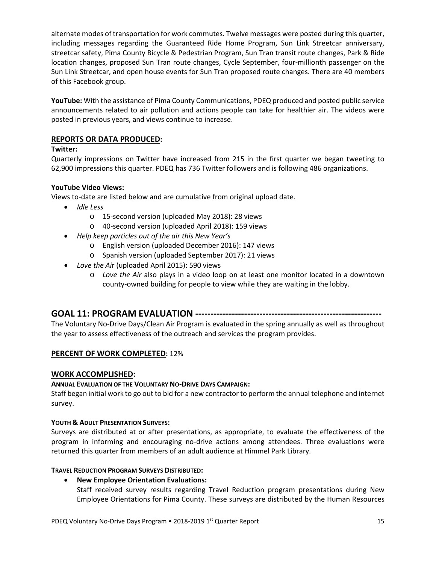alternate modes of transportation for work commutes. Twelve messages were posted during this quarter, including messages regarding the Guaranteed Ride Home Program, Sun Link Streetcar anniversary, streetcar safety, Pima County Bicycle & Pedestrian Program, Sun Tran transit route changes, Park & Ride location changes, proposed Sun Tran route changes, Cycle September, four-millionth passenger on the Sun Link Streetcar, and open house events for Sun Tran proposed route changes. There are 40 members of this Facebook group.

**YouTube:** With the assistance of Pima County Communications, PDEQ produced and posted public service announcements related to air pollution and actions people can take for healthier air. The videos were posted in previous years, and views continue to increase.

## **REPORTS OR DATA PRODUCED:**

## **Twitter:**

Quarterly impressions on Twitter have increased from 215 in the first quarter we began tweeting to 62,900 impressions this quarter. PDEQ has 736 Twitter followers and is following 486 organizations.

## **YouTube Video Views:**

Views to-date are listed below and are cumulative from original upload date.

- *Idle Less*
	- o 15-second version (uploaded May 2018): 28 views
	- o 40-second version (uploaded April 2018): 159 views
- *Help keep particles out of the air this New Year's* 
	- o English version (uploaded December 2016): 147 views
	- o Spanish version (uploaded September 2017): 21 views
- *Love the Ai*r (uploaded April 2015): 590 views
	- o *Love the Air* also plays in a video loop on at least one monitor located in a downtown county-owned building for people to view while they are waiting in the lobby.

# **GOAL 11: PROGRAM EVALUATION -------------------------------------------------------------**

The Voluntary No-Drive Days/Clean Air Program is evaluated in the spring annually as well as throughout the year to assess effectiveness of the outreach and services the program provides.

## **PERCENT OF WORK COMPLETED:** 12%

## **WORK ACCOMPLISHED:**

## **ANNUAL EVALUATION OF THE VOLUNTARY NO-DRIVE DAYS CAMPAIGN:**

Staff began initial work to go out to bid for a new contractor to perform the annual telephone and internet survey.

## **YOUTH & ADULT PRESENTATION SURVEYS:**

Surveys are distributed at or after presentations, as appropriate, to evaluate the effectiveness of the program in informing and encouraging no-drive actions among attendees. Three evaluations were returned this quarter from members of an adult audience at Himmel Park Library.

## **TRAVEL REDUCTION PROGRAM SURVEYS DISTRIBUTED:**

## • **New Employee Orientation Evaluations:**

Staff received survey results regarding Travel Reduction program presentations during New Employee Orientations for Pima County. These surveys are distributed by the Human Resources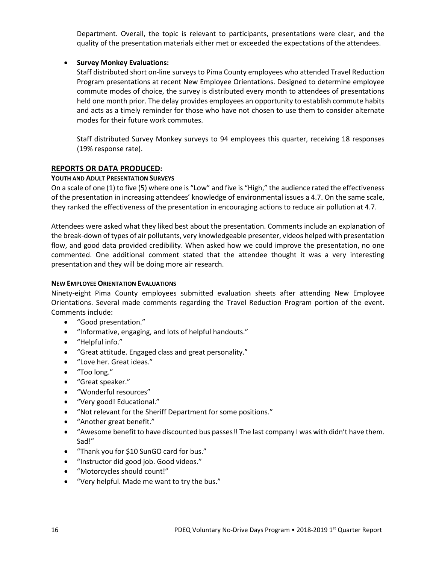Department. Overall, the topic is relevant to participants, presentations were clear, and the quality of the presentation materials either met or exceeded the expectations of the attendees.

## • **Survey Monkey Evaluations:**

Staff distributed short on-line surveys to Pima County employees who attended Travel Reduction Program presentations at recent New Employee Orientations. Designed to determine employee commute modes of choice, the survey is distributed every month to attendees of presentations held one month prior. The delay provides employees an opportunity to establish commute habits and acts as a timely reminder for those who have not chosen to use them to consider alternate modes for their future work commutes.

Staff distributed Survey Monkey surveys to 94 employees this quarter, receiving 18 responses (19% response rate).

### **REPORTS OR DATA PRODUCED:**

#### **YOUTH AND ADULT PRESENTATION SURVEYS**

On a scale of one (1) to five (5) where one is "Low" and five is "High," the audience rated the effectiveness of the presentation in increasing attendees' knowledge of environmental issues a 4.7. On the same scale, they ranked the effectiveness of the presentation in encouraging actions to reduce air pollution at 4.7.

Attendees were asked what they liked best about the presentation. Comments include an explanation of the break-down of types of air pollutants, very knowledgeable presenter, videos helped with presentation flow, and good data provided credibility. When asked how we could improve the presentation, no one commented. One additional comment stated that the attendee thought it was a very interesting presentation and they will be doing more air research.

#### **NEW EMPLOYEE ORIENTATION EVALUATIONS**

Ninety-eight Pima County employees submitted evaluation sheets after attending New Employee Orientations. Several made comments regarding the Travel Reduction Program portion of the event. Comments include:

- "Good presentation."
- "Informative, engaging, and lots of helpful handouts."
- "Helpful info."
- "Great attitude. Engaged class and great personality."
- "Love her. Great ideas."
- "Too long."
- "Great speaker."
- "Wonderful resources"
- "Very good! Educational."
- "Not relevant for the Sheriff Department for some positions."
- "Another great benefit."
- "Awesome benefit to have discounted bus passes!! The last company I was with didn't have them. Sad!"
- "Thank you for \$10 SunGO card for bus."
- "Instructor did good job. Good videos."
- "Motorcycles should count!"
- "Very helpful. Made me want to try the bus."